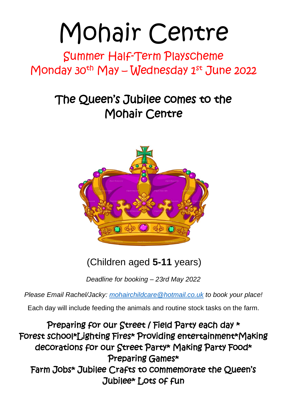# Mohair Centre

## Summer Half-Term Playscheme Monday 30<sup>th</sup> May – Wednesday  $1^{st}$  June 2022

## The Queen's Jubilee comes to the Mohair Centre



(Children aged **5-11** years)

*Deadline for booking – 23rd May 2022*

*Please Email Rachel/Jacky: mohairchildcare@hotmail.co.uk to book your place!* 

Each day will include feeding the animals and routine stock tasks on the farm.

Preparing for our Street / Field Party each day \* Forest school\*Lighting Fires\* Providing entertainment\*Making decorations for our Street Party\* Making Party Food\* Preparing Games\* Farm Jobs\* Jubilee Crafts to commemorate the Queen's Jubilee\* Lots of fun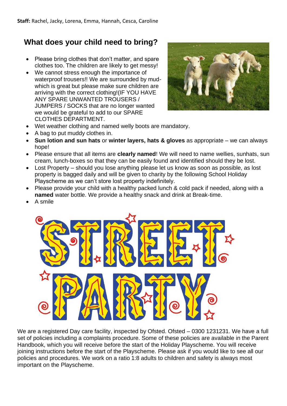### **What does your child need to bring?**

- Please bring clothes that don't matter, and spare clothes too. The children are likely to get messy!
- We cannot stress enough the importance of waterproof trousers!! We are surrounded by mudwhich is great but please make sure children are arriving with the correct clothing!(IF YOU HAVE ANY SPARE UNWANTED TROUSERS / JUMPERS / SOCKS that are no longer wanted we would be grateful to add to our SPARE CLOTHES DEPARTMENT.



- Wet weather clothing and named welly boots are mandatory.
- A bag to put muddy clothes in.
- **Sun lotion and sun hats** or **winter layers, hats & gloves** as appropriate we can always hope!
- Please ensure that all items are **clearly named**! We will need to name wellies, sunhats, sun cream, lunch-boxes so that they can be easily found and identified should they be lost.
- Lost Property should you lose anything please let us know as soon as possible, as lost property is bagged daily and will be given to charity by the following School Holiday Playscheme as we can't store lost property indefinitely.
- Please provide your child with a healthy packed lunch & cold pack if needed, along with a **named** water bottle. We provide a healthy snack and drink at Break-time.
- A smile



We are a registered Day care facility, inspected by Ofsted. Ofsted – 0300 1231231. We have a full set of policies including a complaints procedure. Some of these policies are available in the Parent Handbook, which you will receive before the start of the Holiday Playscheme. You will receive joining instructions before the start of the Playscheme. Please ask if you would like to see all our policies and procedures. We work on a ratio 1:8 adults to children and safety is always most important on the Playscheme.